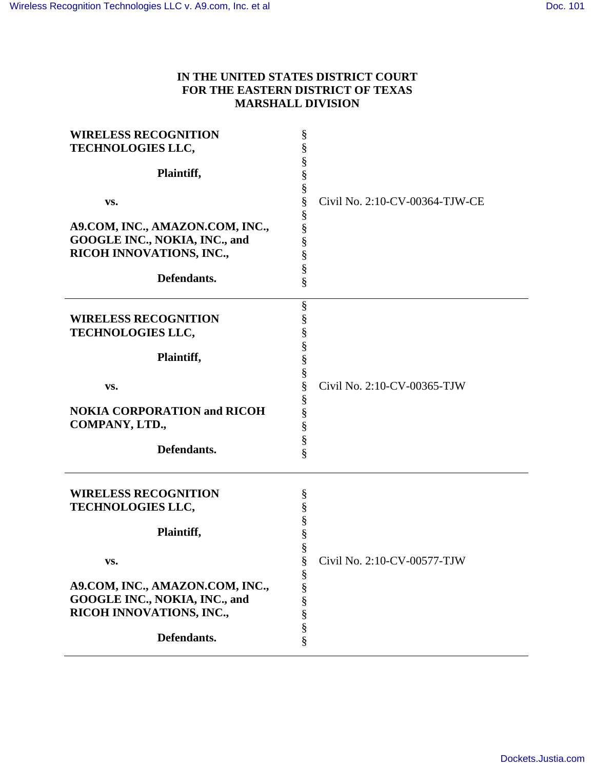## **IN THE UNITED STATES DISTRICT COURT FOR THE EASTERN DISTRICT OF TEXAS MARSHALL DIVISION**

| <b>WIRELESS RECOGNITION</b><br>TECHNOLOGIES LLC,<br>Plaintiff,<br>VS.<br>A9.COM, INC., AMAZON.COM, INC.,<br>GOOGLE INC., NOKIA, INC., and<br>RICOH INNOVATIONS, INC.,<br>Defendants. | §<br>§<br>§<br>§<br>§<br>§<br>Civil No. 2:10-CV-00364-TJW-CE<br>§<br>§<br>§<br>§<br>§<br>§ |
|--------------------------------------------------------------------------------------------------------------------------------------------------------------------------------------|--------------------------------------------------------------------------------------------|
| <b>WIRELESS RECOGNITION</b><br>TECHNOLOGIES LLC,<br>Plaintiff,<br>VS.<br><b>NOKIA CORPORATION and RICOH</b><br>COMPANY, LTD.,<br>Defendants.                                         | §<br>§<br>§<br>s<br>S<br>S<br>So so so so so so<br>Civil No. 2:10-CV-00365-TJW             |
| <b>WIRELESS RECOGNITION</b><br>TECHNOLOGIES LLC,<br>Plaintiff,<br>VS.<br>A9.COM, INC., AMAZON.COM, INC.,<br>GOOGLE INC., NOKIA, INC., and<br>RICOH INNOVATIONS, INC.,<br>Defendants. | §<br>§<br>§<br>§<br>§<br>Civil No. 2:10-CV-00577-TJW<br>So so so so so so                  |